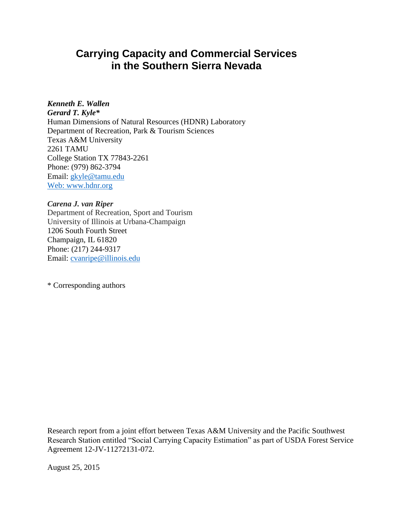# **Carrying Capacity and Commercial Services in the Southern Sierra Nevada**

## *Kenneth E. Wallen*

*Gerard T. Kyle\** Human Dimensions of Natural Resources (HDNR) Laboratory Department of Recreation, Park & Tourism Sciences Texas A&M University 2261 TAMU College Station TX 77843-2261 Phone: (979) 862-3794 Email: [gkyle@tamu.edu](mailto:gkyle@tamu.edu) Web: www.hdnr.org

## *Carena J. van Riper*

Department of Recreation, Sport and Tourism University of Illinois at Urbana-Champaign 1206 South Fourth Street Champaign, IL 61820 Phone: (217) 244-9317 Email: [cvanripe@illinois.edu](mailto:cvanripe@illinois.edu)

\* Corresponding authors

Research report from a joint effort between Texas A&M University and the Pacific Southwest Research Station entitled "Social Carrying Capacity Estimation" as part of USDA Forest Service Agreement 12-JV-11272131-072.

August 25, 2015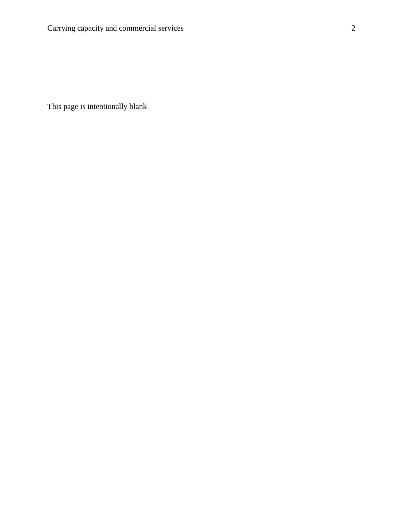This page is intentionally blank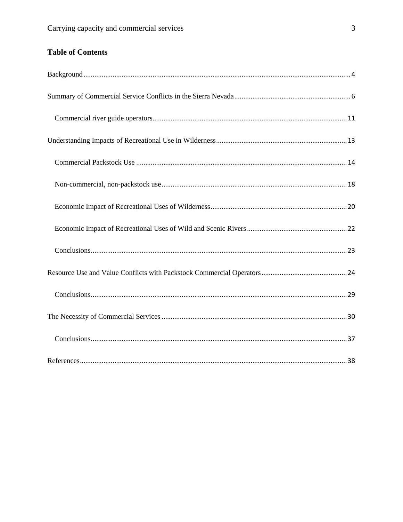## **Table of Contents**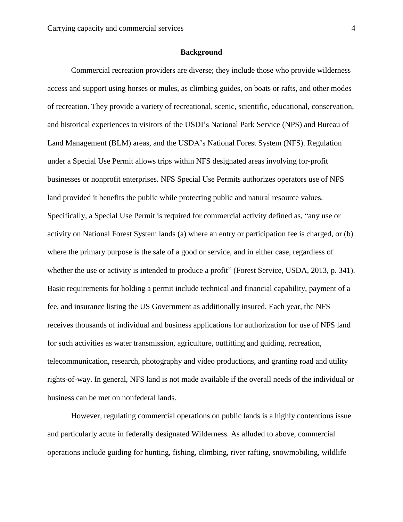## **Background**

<span id="page-3-0"></span>Commercial recreation providers are diverse; they include those who provide wilderness access and support using horses or mules, as climbing guides, on boats or rafts, and other modes of recreation. They provide a variety of recreational, scenic, scientific, educational, conservation, and historical experiences to visitors of the USDI's National Park Service (NPS) and Bureau of Land Management (BLM) areas, and the USDA's National Forest System (NFS). Regulation under a Special Use Permit allows trips within NFS designated areas involving for-profit businesses or nonprofit enterprises. NFS Special Use Permits authorizes operators use of NFS land provided it benefits the public while protecting public and natural resource values. Specifically, a Special Use Permit is required for commercial activity defined as, "any use or activity on National Forest System lands (a) where an entry or participation fee is charged, or (b) where the primary purpose is the sale of a good or service, and in either case, regardless of whether the use or activity is intended to produce a profit" (Forest Service, USDA, 2013, p. 341). Basic requirements for holding a permit include technical and financial capability, payment of a fee, and insurance listing the US Government as additionally insured. Each year, the NFS receives thousands of individual and business applications for authorization for use of NFS land for such activities as water transmission, agriculture, outfitting and guiding, recreation, telecommunication, research, photography and video productions, and granting road and utility rights-of-way. In general, NFS land is not made available if the overall needs of the individual or business can be met on nonfederal lands.

However, regulating commercial operations on public lands is a highly contentious issue and particularly acute in federally designated Wilderness. As alluded to above, commercial operations include guiding for hunting, fishing, climbing, river rafting, snowmobiling, wildlife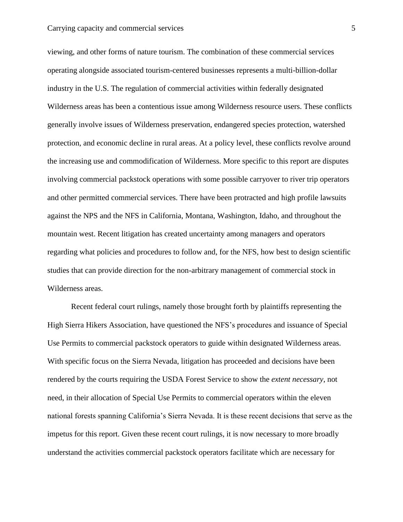viewing, and other forms of nature tourism. The combination of these commercial services operating alongside associated tourism-centered businesses represents a multi-billion-dollar industry in the U.S. The regulation of commercial activities within federally designated Wilderness areas has been a contentious issue among Wilderness resource users. These conflicts generally involve issues of Wilderness preservation, endangered species protection, watershed protection, and economic decline in rural areas. At a policy level, these conflicts revolve around the increasing use and commodification of Wilderness. More specific to this report are disputes involving commercial packstock operations with some possible carryover to river trip operators and other permitted commercial services. There have been protracted and high profile lawsuits against the NPS and the NFS in California, Montana, Washington, Idaho, and throughout the mountain west. Recent litigation has created uncertainty among managers and operators regarding what policies and procedures to follow and, for the NFS, how best to design scientific studies that can provide direction for the non-arbitrary management of commercial stock in Wilderness areas.

Recent federal court rulings, namely those brought forth by plaintiffs representing the High Sierra Hikers Association, have questioned the NFS's procedures and issuance of Special Use Permits to commercial packstock operators to guide within designated Wilderness areas. With specific focus on the Sierra Nevada, litigation has proceeded and decisions have been rendered by the courts requiring the USDA Forest Service to show the *extent necessary*, not need, in their allocation of Special Use Permits to commercial operators within the eleven national forests spanning California's Sierra Nevada. It is these recent decisions that serve as the impetus for this report. Given these recent court rulings, it is now necessary to more broadly understand the activities commercial packstock operators facilitate which are necessary for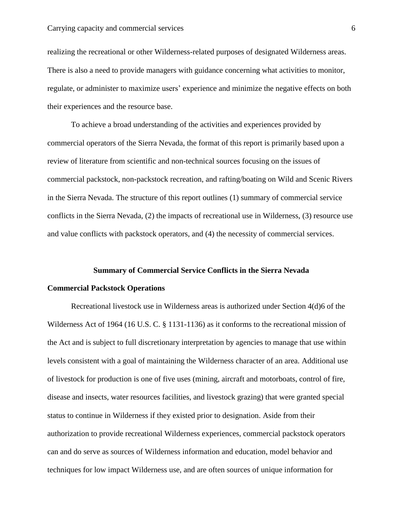realizing the recreational or other Wilderness-related purposes of designated Wilderness areas. There is also a need to provide managers with guidance concerning what activities to monitor, regulate, or administer to maximize users' experience and minimize the negative effects on both their experiences and the resource base.

To achieve a broad understanding of the activities and experiences provided by commercial operators of the Sierra Nevada, the format of this report is primarily based upon a review of literature from scientific and non-technical sources focusing on the issues of commercial packstock, non-packstock recreation, and rafting/boating on Wild and Scenic Rivers in the Sierra Nevada. The structure of this report outlines (1) summary of commercial service conflicts in the Sierra Nevada, (2) the impacts of recreational use in Wilderness, (3) resource use and value conflicts with packstock operators, and (4) the necessity of commercial services.

#### **Summary of Commercial Service Conflicts in the Sierra Nevada**

## <span id="page-5-0"></span>**Commercial Packstock Operations**

Recreational livestock use in Wilderness areas is authorized under Section 4(d)6 of the Wilderness Act of 1964 (16 U.S. C. § 1131-1136) as it conforms to the recreational mission of the Act and is subject to full discretionary interpretation by agencies to manage that use within levels consistent with a goal of maintaining the Wilderness character of an area. Additional use of livestock for production is one of five uses (mining, aircraft and motorboats, control of fire, disease and insects, water resources facilities, and livestock grazing) that were granted special status to continue in Wilderness if they existed prior to designation. Aside from their authorization to provide recreational Wilderness experiences, commercial packstock operators can and do serve as sources of Wilderness information and education, model behavior and techniques for low impact Wilderness use, and are often sources of unique information for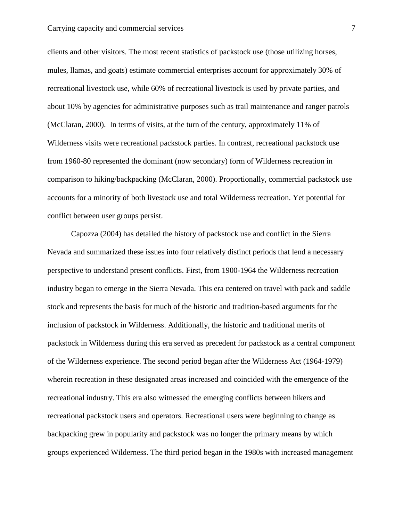#### Carrying capacity and commercial services 7

clients and other visitors. The most recent statistics of packstock use (those utilizing horses, mules, llamas, and goats) estimate commercial enterprises account for approximately 30% of recreational livestock use, while 60% of recreational livestock is used by private parties, and about 10% by agencies for administrative purposes such as trail maintenance and ranger patrols (McClaran, 2000). In terms of visits, at the turn of the century, approximately 11% of Wilderness visits were recreational packstock parties. In contrast, recreational packstock use from 1960-80 represented the dominant (now secondary) form of Wilderness recreation in comparison to hiking/backpacking (McClaran, 2000). Proportionally, commercial packstock use accounts for a minority of both livestock use and total Wilderness recreation. Yet potential for conflict between user groups persist.

Capozza (2004) has detailed the history of packstock use and conflict in the Sierra Nevada and summarized these issues into four relatively distinct periods that lend a necessary perspective to understand present conflicts. First, from 1900-1964 the Wilderness recreation industry began to emerge in the Sierra Nevada. This era centered on travel with pack and saddle stock and represents the basis for much of the historic and tradition-based arguments for the inclusion of packstock in Wilderness. Additionally, the historic and traditional merits of packstock in Wilderness during this era served as precedent for packstock as a central component of the Wilderness experience. The second period began after the Wilderness Act (1964-1979) wherein recreation in these designated areas increased and coincided with the emergence of the recreational industry. This era also witnessed the emerging conflicts between hikers and recreational packstock users and operators. Recreational users were beginning to change as backpacking grew in popularity and packstock was no longer the primary means by which groups experienced Wilderness. The third period began in the 1980s with increased management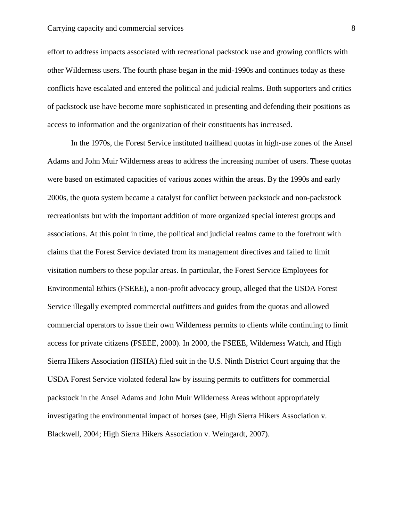effort to address impacts associated with recreational packstock use and growing conflicts with other Wilderness users. The fourth phase began in the mid-1990s and continues today as these conflicts have escalated and entered the political and judicial realms. Both supporters and critics of packstock use have become more sophisticated in presenting and defending their positions as access to information and the organization of their constituents has increased.

In the 1970s, the Forest Service instituted trailhead quotas in high-use zones of the Ansel Adams and John Muir Wilderness areas to address the increasing number of users. These quotas were based on estimated capacities of various zones within the areas. By the 1990s and early 2000s, the quota system became a catalyst for conflict between packstock and non-packstock recreationists but with the important addition of more organized special interest groups and associations. At this point in time, the political and judicial realms came to the forefront with claims that the Forest Service deviated from its management directives and failed to limit visitation numbers to these popular areas. In particular, the Forest Service Employees for Environmental Ethics (FSEEE), a non-profit advocacy group, alleged that the USDA Forest Service illegally exempted commercial outfitters and guides from the quotas and allowed commercial operators to issue their own Wilderness permits to clients while continuing to limit access for private citizens (FSEEE, 2000). In 2000, the FSEEE, Wilderness Watch, and High Sierra Hikers Association (HSHA) filed suit in the U.S. Ninth District Court arguing that the USDA Forest Service violated federal law by issuing permits to outfitters for commercial packstock in the Ansel Adams and John Muir Wilderness Areas without appropriately investigating the environmental impact of horses (see, High Sierra Hikers Association v. Blackwell, 2004; High Sierra Hikers Association v. Weingardt, 2007).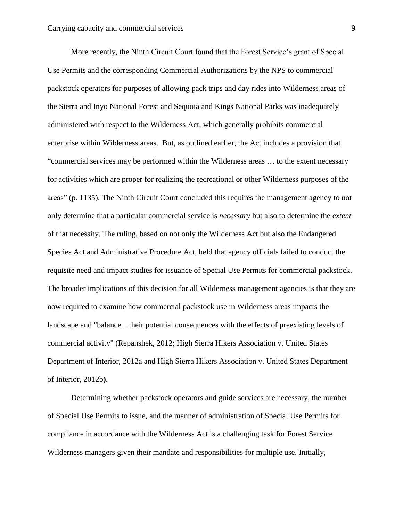More recently, the Ninth Circuit Court found that the Forest Service's grant of Special Use Permits and the corresponding Commercial Authorizations by the NPS to commercial packstock operators for purposes of allowing pack trips and day rides into Wilderness areas of the Sierra and Inyo National Forest and Sequoia and Kings National Parks was inadequately administered with respect to the Wilderness Act, which generally prohibits commercial enterprise within Wilderness areas. But, as outlined earlier, the Act includes a provision that "commercial services may be performed within the Wilderness areas … to the extent necessary for activities which are proper for realizing the recreational or other Wilderness purposes of the areas" (p. 1135). The Ninth Circuit Court concluded this requires the management agency to not only determine that a particular commercial service is *necessary* but also to determine the *extent*  of that necessity. The ruling, based on not only the Wilderness Act but also the Endangered Species Act and Administrative Procedure Act, held that agency officials failed to conduct the requisite need and impact studies for issuance of Special Use Permits for commercial packstock. The broader implications of this decision for all Wilderness management agencies is that they are now required to examine how commercial packstock use in Wilderness areas impacts the landscape and "balance... their potential consequences with the effects of preexisting levels of commercial activity" (Repanshek, 2012; High Sierra Hikers Association v. United States Department of Interior, 2012a and High Sierra Hikers Association v. United States Department of Interior, 2012b**).**

Determining whether packstock operators and guide services are necessary, the number of Special Use Permits to issue, and the manner of administration of Special Use Permits for compliance in accordance with the Wilderness Act is a challenging task for Forest Service Wilderness managers given their mandate and responsibilities for multiple use. Initially,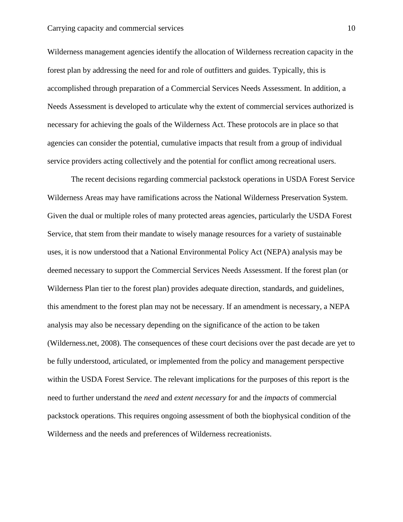Wilderness management agencies identify the allocation of Wilderness recreation capacity in the forest plan by addressing the need for and role of outfitters and guides. Typically, this is accomplished through preparation of a Commercial Services Needs Assessment. In addition, a Needs Assessment is developed to articulate why the extent of commercial services authorized is necessary for achieving the goals of the Wilderness Act. These protocols are in place so that agencies can consider the potential, cumulative impacts that result from a group of individual service providers acting collectively and the potential for conflict among recreational users.

The recent decisions regarding commercial packstock operations in USDA Forest Service Wilderness Areas may have ramifications across the National Wilderness Preservation System. Given the dual or multiple roles of many protected areas agencies, particularly the USDA Forest Service, that stem from their mandate to wisely manage resources for a variety of sustainable uses, it is now understood that a National Environmental Policy Act (NEPA) analysis may be deemed necessary to support the Commercial Services Needs Assessment. If the forest plan (or Wilderness Plan tier to the forest plan) provides adequate direction, standards, and guidelines, this amendment to the forest plan may not be necessary. If an amendment is necessary, a NEPA analysis may also be necessary depending on the significance of the action to be taken (Wilderness.net, 2008). The consequences of these court decisions over the past decade are yet to be fully understood, articulated, or implemented from the policy and management perspective within the USDA Forest Service. The relevant implications for the purposes of this report is the need to further understand the *need* and *extent necessary* for and the *impacts* of commercial packstock operations. This requires ongoing assessment of both the biophysical condition of the Wilderness and the needs and preferences of Wilderness recreationists.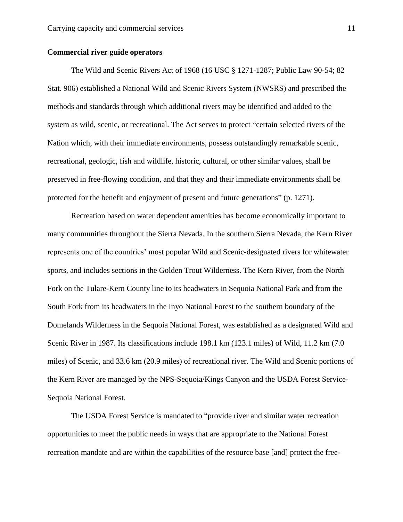## <span id="page-10-0"></span>**Commercial river guide operators**

The Wild and Scenic Rivers Act of 1968 (16 USC § 1271-1287; Public Law 90-54; 82 Stat. 906) established a National Wild and Scenic Rivers System (NWSRS) and prescribed the methods and standards through which additional rivers may be identified and added to the system as wild, scenic, or recreational. The Act serves to protect "certain selected rivers of the Nation which, with their immediate environments, possess outstandingly remarkable scenic, recreational, geologic, fish and wildlife, historic, cultural, or other similar values, shall be preserved in free-flowing condition, and that they and their immediate environments shall be protected for the benefit and enjoyment of present and future generations" (p. 1271).

Recreation based on water dependent amenities has become economically important to many communities throughout the Sierra Nevada. In the southern Sierra Nevada, the Kern River represents one of the countries' most popular Wild and Scenic-designated rivers for whitewater sports, and includes sections in the Golden Trout Wilderness. The Kern River, from the North Fork on the Tulare-Kern County line to its headwaters in Sequoia National Park and from the South Fork from its headwaters in the Inyo National Forest to the southern boundary of the Domelands Wilderness in the Sequoia National Forest, was established as a designated Wild and Scenic River in 1987. Its classifications include 198.1 km (123.1 miles) of Wild, 11.2 km (7.0 miles) of Scenic, and 33.6 km (20.9 miles) of recreational river. The Wild and Scenic portions of the Kern River are managed by the NPS-Sequoia/Kings Canyon and the USDA Forest Service-Sequoia National Forest.

The USDA Forest Service is mandated to "provide river and similar water recreation opportunities to meet the public needs in ways that are appropriate to the National Forest recreation mandate and are within the capabilities of the resource base [and] protect the free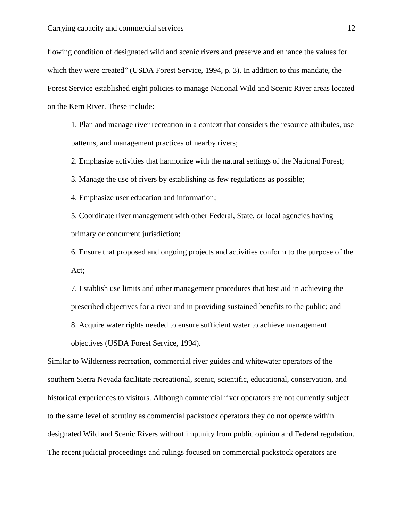flowing condition of designated wild and scenic rivers and preserve and enhance the values for which they were created" (USDA Forest Service, 1994, p. 3). In addition to this mandate, the Forest Service established eight policies to manage National Wild and Scenic River areas located on the Kern River. These include:

1. Plan and manage river recreation in a context that considers the resource attributes, use patterns, and management practices of nearby rivers;

2. Emphasize activities that harmonize with the natural settings of the National Forest;

3. Manage the use of rivers by establishing as few regulations as possible;

4. Emphasize user education and information;

5. Coordinate river management with other Federal, State, or local agencies having primary or concurrent jurisdiction;

6. Ensure that proposed and ongoing projects and activities conform to the purpose of the Act;

7. Establish use limits and other management procedures that best aid in achieving the prescribed objectives for a river and in providing sustained benefits to the public; and 8. Acquire water rights needed to ensure sufficient water to achieve management objectives (USDA Forest Service, 1994).

Similar to Wilderness recreation, commercial river guides and whitewater operators of the southern Sierra Nevada facilitate recreational, scenic, scientific, educational, conservation, and historical experiences to visitors. Although commercial river operators are not currently subject to the same level of scrutiny as commercial packstock operators they do not operate within designated Wild and Scenic Rivers without impunity from public opinion and Federal regulation. The recent judicial proceedings and rulings focused on commercial packstock operators are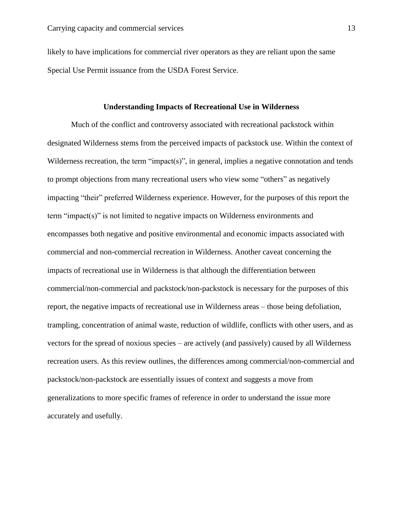likely to have implications for commercial river operators as they are reliant upon the same Special Use Permit issuance from the USDA Forest Service.

## **Understanding Impacts of Recreational Use in Wilderness**

<span id="page-12-0"></span>Much of the conflict and controversy associated with recreational packstock within designated Wilderness stems from the perceived impacts of packstock use. Within the context of Wilderness recreation, the term "impact(s)", in general, implies a negative connotation and tends to prompt objections from many recreational users who view some "others" as negatively impacting "their" preferred Wilderness experience. However, for the purposes of this report the term "impact(s)" is not limited to negative impacts on Wilderness environments and encompasses both negative and positive environmental and economic impacts associated with commercial and non-commercial recreation in Wilderness. Another caveat concerning the impacts of recreational use in Wilderness is that although the differentiation between commercial/non-commercial and packstock/non-packstock is necessary for the purposes of this report, the negative impacts of recreational use in Wilderness areas – those being defoliation, trampling, concentration of animal waste, reduction of wildlife, conflicts with other users, and as vectors for the spread of noxious species – are actively (and passively) caused by all Wilderness recreation users. As this review outlines, the differences among commercial/non-commercial and packstock/non-packstock are essentially issues of context and suggests a move from generalizations to more specific frames of reference in order to understand the issue more accurately and usefully.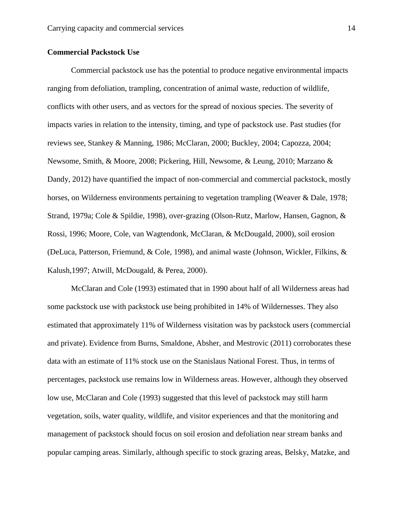## <span id="page-13-0"></span>**Commercial Packstock Use**

Commercial packstock use has the potential to produce negative environmental impacts ranging from defoliation, trampling, concentration of animal waste, reduction of wildlife, conflicts with other users, and as vectors for the spread of noxious species. The severity of impacts varies in relation to the intensity, timing, and type of packstock use. Past studies (for reviews see, Stankey & Manning, 1986; McClaran, 2000; Buckley, 2004; Capozza, 2004; Newsome, Smith, & Moore, 2008; Pickering, Hill, Newsome, & Leung, 2010; Marzano & Dandy, 2012) have quantified the impact of non-commercial and commercial packstock, mostly horses, on Wilderness environments pertaining to vegetation trampling (Weaver & Dale, 1978; Strand, 1979a; Cole & Spildie, 1998), over-grazing (Olson-Rutz, Marlow, Hansen, Gagnon, & Rossi, 1996; Moore, Cole, van Wagtendonk, McClaran, & McDougald, 2000), soil erosion (DeLuca, Patterson, Friemund, & Cole, 1998), and animal waste (Johnson, Wickler, Filkins, & Kalush,1997; Atwill, McDougald, & Perea, 2000).

McClaran and Cole (1993) estimated that in 1990 about half of all Wilderness areas had some packstock use with packstock use being prohibited in 14% of Wildernesses. They also estimated that approximately 11% of Wilderness visitation was by packstock users (commercial and private). Evidence from Burns, Smaldone, Absher, and Mestrovic (2011) corroborates these data with an estimate of 11% stock use on the Stanislaus National Forest. Thus, in terms of percentages, packstock use remains low in Wilderness areas. However, although they observed low use, McClaran and Cole (1993) suggested that this level of packstock may still harm vegetation, soils, water quality, wildlife, and visitor experiences and that the monitoring and management of packstock should focus on soil erosion and defoliation near stream banks and popular camping areas. Similarly, although specific to stock grazing areas, Belsky, Matzke, and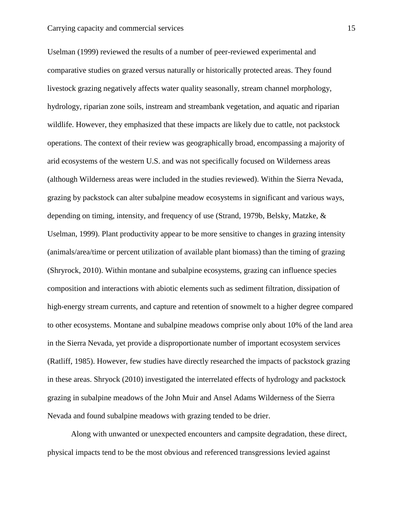Uselman (1999) reviewed the results of a number of peer-reviewed experimental and comparative studies on grazed versus naturally or historically protected areas. They found livestock grazing negatively affects water quality seasonally, stream channel morphology, hydrology, riparian zone soils, instream and streambank vegetation, and aquatic and riparian wildlife. However, they emphasized that these impacts are likely due to cattle, not packstock operations. The context of their review was geographically broad, encompassing a majority of arid ecosystems of the western U.S. and was not specifically focused on Wilderness areas (although Wilderness areas were included in the studies reviewed). Within the Sierra Nevada, grazing by packstock can alter subalpine meadow ecosystems in significant and various ways, depending on timing, intensity, and frequency of use (Strand, 1979b, Belsky, Matzke, & Uselman, 1999). Plant productivity appear to be more sensitive to changes in grazing intensity (animals/area/time or percent utilization of available plant biomass) than the timing of grazing (Shryrock, 2010). Within montane and subalpine ecosystems, grazing can influence species composition and interactions with abiotic elements such as sediment filtration, dissipation of high-energy stream currents, and capture and retention of snowmelt to a higher degree compared to other ecosystems. Montane and subalpine meadows comprise only about 10% of the land area in the Sierra Nevada, yet provide a disproportionate number of important ecosystem services (Ratliff, 1985). However, few studies have directly researched the impacts of packstock grazing in these areas. Shryock (2010) investigated the interrelated effects of hydrology and packstock grazing in subalpine meadows of the John Muir and Ansel Adams Wilderness of the Sierra Nevada and found subalpine meadows with grazing tended to be drier.

Along with unwanted or unexpected encounters and campsite degradation, these direct, physical impacts tend to be the most obvious and referenced transgressions levied against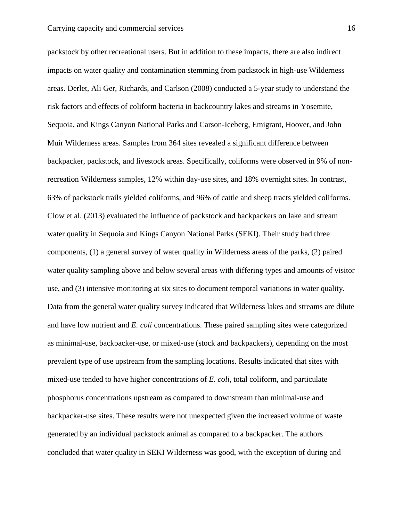packstock by other recreational users. But in addition to these impacts, there are also indirect impacts on water quality and contamination stemming from packstock in high-use Wilderness areas. Derlet, Ali Ger, Richards, and Carlson (2008) conducted a 5-year study to understand the risk factors and effects of coliform bacteria in backcountry lakes and streams in Yosemite, Sequoia, and Kings Canyon National Parks and Carson-Iceberg, Emigrant, Hoover, and John Muir Wilderness areas. Samples from 364 sites revealed a significant difference between backpacker, packstock, and livestock areas. Specifically, coliforms were observed in 9% of nonrecreation Wilderness samples, 12% within day-use sites, and 18% overnight sites. In contrast, 63% of packstock trails yielded coliforms, and 96% of cattle and sheep tracts yielded coliforms. Clow et al. (2013) evaluated the influence of packstock and backpackers on lake and stream water quality in Sequoia and Kings Canyon National Parks (SEKI). Their study had three components, (1) a general survey of water quality in Wilderness areas of the parks, (2) paired water quality sampling above and below several areas with differing types and amounts of visitor use, and (3) intensive monitoring at six sites to document temporal variations in water quality. Data from the general water quality survey indicated that Wilderness lakes and streams are dilute and have low nutrient and *E. coli* concentrations. These paired sampling sites were categorized as minimal-use, backpacker-use, or mixed-use (stock and backpackers), depending on the most prevalent type of use upstream from the sampling locations. Results indicated that sites with mixed-use tended to have higher concentrations of *E. coli*, total coliform, and particulate phosphorus concentrations upstream as compared to downstream than minimal-use and backpacker-use sites. These results were not unexpected given the increased volume of waste generated by an individual packstock animal as compared to a backpacker. The authors concluded that water quality in SEKI Wilderness was good, with the exception of during and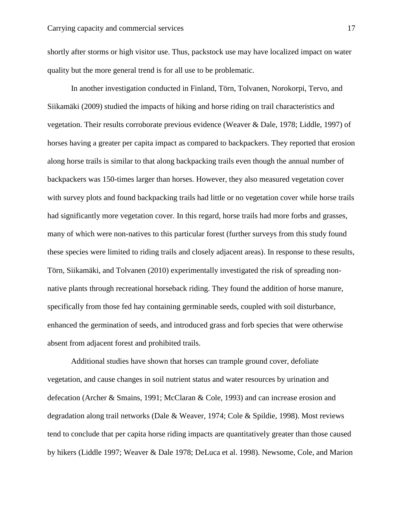shortly after storms or high visitor use. Thus, packstock use may have localized impact on water quality but the more general trend is for all use to be problematic.

In another investigation conducted in Finland, Törn, Tolvanen, Norokorpi, Tervo, and Siikamäki (2009) studied the impacts of hiking and horse riding on trail characteristics and vegetation. Their results corroborate previous evidence (Weaver & Dale, 1978; Liddle, 1997) of horses having a greater per capita impact as compared to backpackers. They reported that erosion along horse trails is similar to that along backpacking trails even though the annual number of backpackers was 150-times larger than horses. However, they also measured vegetation cover with survey plots and found backpacking trails had little or no vegetation cover while horse trails had significantly more vegetation cover. In this regard, horse trails had more forbs and grasses, many of which were non-natives to this particular forest (further surveys from this study found these species were limited to riding trails and closely adjacent areas). In response to these results, Törn, Siikamäki, and Tolvanen (2010) experimentally investigated the risk of spreading nonnative plants through recreational horseback riding. They found the addition of horse manure, specifically from those fed hay containing germinable seeds, coupled with soil disturbance, enhanced the germination of seeds, and introduced grass and forb species that were otherwise absent from adjacent forest and prohibited trails.

Additional studies have shown that horses can trample ground cover, defoliate vegetation, and cause changes in soil nutrient status and water resources by urination and defecation (Archer & Smains, 1991; McClaran & Cole, 1993) and can increase erosion and degradation along trail networks (Dale & Weaver, 1974; Cole & Spildie, 1998). Most reviews tend to conclude that per capita horse riding impacts are quantitatively greater than those caused by hikers (Liddle 1997; Weaver & Dale 1978; DeLuca et al. 1998). Newsome, Cole, and Marion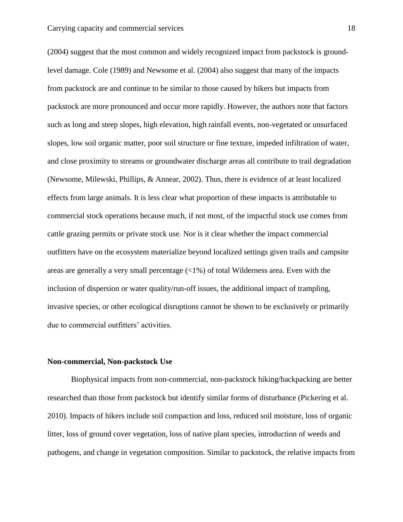(2004) suggest that the most common and widely recognized impact from packstock is groundlevel damage. Cole (1989) and Newsome et al. (2004) also suggest that many of the impacts from packstock are and continue to be similar to those caused by hikers but impacts from packstock are more pronounced and occur more rapidly. However, the authors note that factors such as long and steep slopes, high elevation, high rainfall events, non-vegetated or unsurfaced slopes, low soil organic matter, poor soil structure or fine texture, impeded infiltration of water, and close proximity to streams or groundwater discharge areas all contribute to trail degradation (Newsome, Milewski, Phillips, & Annear, 2002). Thus, there is evidence of at least localized effects from large animals. It is less clear what proportion of these impacts is attributable to commercial stock operations because much, if not most, of the impactful stock use comes from cattle grazing permits or private stock use. Nor is it clear whether the impact commercial outfitters have on the ecosystem materialize beyond localized settings given trails and campsite areas are generally a very small percentage (<1%) of total Wilderness area. Even with the inclusion of dispersion or water quality/run-off issues, the additional impact of trampling, invasive species, or other ecological disruptions cannot be shown to be exclusively or primarily due to commercial outfitters' activities.

#### <span id="page-17-0"></span>**Non-commercial, Non-packstock Use**

Biophysical impacts from non-commercial, non-packstock hiking/backpacking are better researched than those from packstock but identify similar forms of disturbance (Pickering et al. 2010). Impacts of hikers include soil compaction and loss, reduced soil moisture, loss of organic litter, loss of ground cover vegetation, loss of native plant species, introduction of weeds and pathogens, and change in vegetation composition. Similar to packstock, the relative impacts from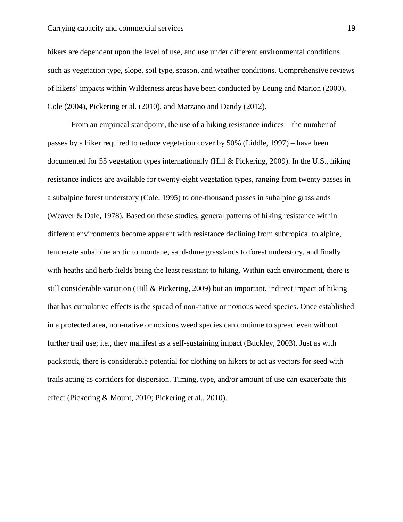hikers are dependent upon the level of use, and use under different environmental conditions such as vegetation type, slope, soil type, season, and weather conditions. Comprehensive reviews of hikers' impacts within Wilderness areas have been conducted by Leung and Marion (2000), Cole (2004), Pickering et al. (2010), and Marzano and Dandy (2012).

From an empirical standpoint, the use of a hiking resistance indices – the number of passes by a hiker required to reduce vegetation cover by 50% (Liddle, 1997) – have been documented for 55 vegetation types internationally (Hill & Pickering, 2009). In the U.S., hiking resistance indices are available for twenty-eight vegetation types, ranging from twenty passes in a subalpine forest understory (Cole, 1995) to one-thousand passes in subalpine grasslands (Weaver & Dale, 1978). Based on these studies, general patterns of hiking resistance within different environments become apparent with resistance declining from subtropical to alpine, temperate subalpine arctic to montane, sand-dune grasslands to forest understory, and finally with heaths and herb fields being the least resistant to hiking. Within each environment, there is still considerable variation (Hill & Pickering, 2009) but an important, indirect impact of hiking that has cumulative effects is the spread of non-native or noxious weed species. Once established in a protected area, non-native or noxious weed species can continue to spread even without further trail use; i.e., they manifest as a self-sustaining impact (Buckley, 2003). Just as with packstock, there is considerable potential for clothing on hikers to act as vectors for seed with trails acting as corridors for dispersion. Timing, type, and/or amount of use can exacerbate this effect (Pickering & Mount, 2010; Pickering et al., 2010).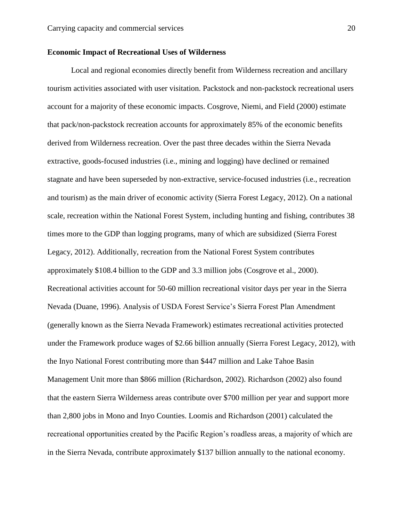## <span id="page-19-0"></span>**Economic Impact of Recreational Uses of Wilderness**

Local and regional economies directly benefit from Wilderness recreation and ancillary tourism activities associated with user visitation. Packstock and non-packstock recreational users account for a majority of these economic impacts. Cosgrove, Niemi, and Field (2000) estimate that pack/non-packstock recreation accounts for approximately 85% of the economic benefits derived from Wilderness recreation. Over the past three decades within the Sierra Nevada extractive, goods-focused industries (i.e., mining and logging) have declined or remained stagnate and have been superseded by non-extractive, service-focused industries (i.e., recreation and tourism) as the main driver of economic activity (Sierra Forest Legacy, 2012). On a national scale, recreation within the National Forest System, including hunting and fishing, contributes 38 times more to the GDP than logging programs, many of which are subsidized (Sierra Forest Legacy, 2012). Additionally, recreation from the National Forest System contributes approximately \$108.4 billion to the GDP and 3.3 million jobs (Cosgrove et al., 2000). Recreational activities account for 50-60 million recreational visitor days per year in the Sierra Nevada (Duane, 1996). Analysis of USDA Forest Service's Sierra Forest Plan Amendment (generally known as the Sierra Nevada Framework) estimates recreational activities protected under the Framework produce wages of \$2.66 billion annually (Sierra Forest Legacy, 2012), with the Inyo National Forest contributing more than \$447 million and Lake Tahoe Basin Management Unit more than \$866 million (Richardson, 2002). Richardson (2002) also found that the eastern Sierra Wilderness areas contribute over \$700 million per year and support more than 2,800 jobs in Mono and Inyo Counties. Loomis and Richardson (2001) calculated the recreational opportunities created by the Pacific Region's roadless areas, a majority of which are in the Sierra Nevada, contribute approximately \$137 billion annually to the national economy.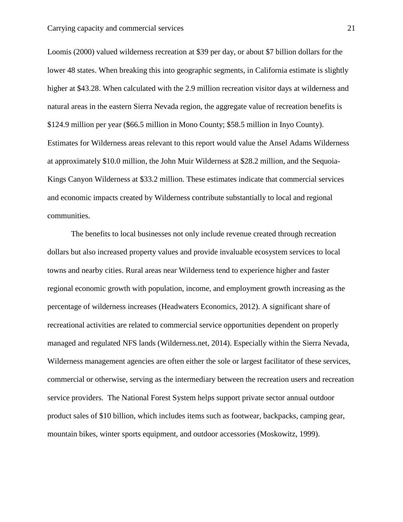Loomis (2000) valued wilderness recreation at \$39 per day, or about \$7 billion dollars for the lower 48 states. When breaking this into geographic segments, in California estimate is slightly higher at \$43.28. When calculated with the 2.9 million recreation visitor days at wilderness and natural areas in the eastern Sierra Nevada region, the aggregate value of recreation benefits is \$124.9 million per year (\$66.5 million in Mono County; \$58.5 million in Inyo County). Estimates for Wilderness areas relevant to this report would value the Ansel Adams Wilderness at approximately \$10.0 million, the John Muir Wilderness at \$28.2 million, and the Sequoia-Kings Canyon Wilderness at \$33.2 million. These estimates indicate that commercial services and economic impacts created by Wilderness contribute substantially to local and regional communities.

The benefits to local businesses not only include revenue created through recreation dollars but also increased property values and provide invaluable ecosystem services to local towns and nearby cities. Rural areas near Wilderness tend to experience higher and faster regional economic growth with population, income, and employment growth increasing as the percentage of wilderness increases (Headwaters Economics, 2012). A significant share of recreational activities are related to commercial service opportunities dependent on properly managed and regulated NFS lands (Wilderness.net, 2014). Especially within the Sierra Nevada, Wilderness management agencies are often either the sole or largest facilitator of these services, commercial or otherwise, serving as the intermediary between the recreation users and recreation service providers. The National Forest System helps support private sector annual outdoor product sales of \$10 billion, which includes items such as footwear, backpacks, camping gear, mountain bikes, winter sports equipment, and outdoor accessories (Moskowitz, 1999).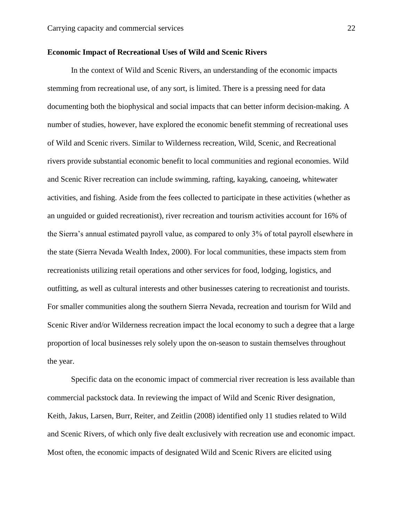## <span id="page-21-0"></span>**Economic Impact of Recreational Uses of Wild and Scenic Rivers**

In the context of Wild and Scenic Rivers, an understanding of the economic impacts stemming from recreational use, of any sort, is limited. There is a pressing need for data documenting both the biophysical and social impacts that can better inform decision-making. A number of studies, however, have explored the economic benefit stemming of recreational uses of Wild and Scenic rivers. Similar to Wilderness recreation, Wild, Scenic, and Recreational rivers provide substantial economic benefit to local communities and regional economies. Wild and Scenic River recreation can include swimming, rafting, kayaking, canoeing, whitewater activities, and fishing. Aside from the fees collected to participate in these activities (whether as an unguided or guided recreationist), river recreation and tourism activities account for 16% of the Sierra's annual estimated payroll value, as compared to only 3% of total payroll elsewhere in the state (Sierra Nevada Wealth Index, 2000). For local communities, these impacts stem from recreationists utilizing retail operations and other services for food, lodging, logistics, and outfitting, as well as cultural interests and other businesses catering to recreationist and tourists. For smaller communities along the southern Sierra Nevada, recreation and tourism for Wild and Scenic River and/or Wilderness recreation impact the local economy to such a degree that a large proportion of local businesses rely solely upon the on-season to sustain themselves throughout the year.

Specific data on the economic impact of commercial river recreation is less available than commercial packstock data. In reviewing the impact of Wild and Scenic River designation, Keith, Jakus, Larsen, Burr, Reiter, and Zeitlin (2008) identified only 11 studies related to Wild and Scenic Rivers, of which only five dealt exclusively with recreation use and economic impact. Most often, the economic impacts of designated Wild and Scenic Rivers are elicited using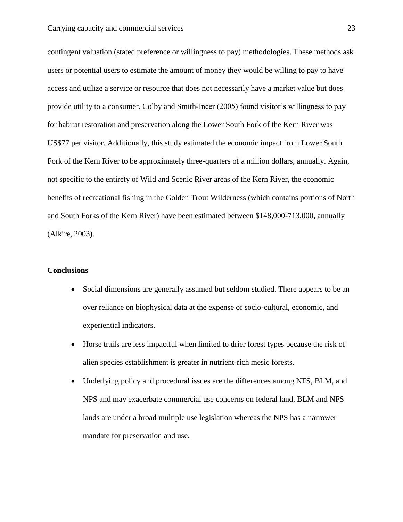contingent valuation (stated preference or willingness to pay) methodologies. These methods ask users or potential users to estimate the amount of money they would be willing to pay to have access and utilize a service or resource that does not necessarily have a market value but does provide utility to a consumer. Colby and Smith-Incer (2005) found visitor's willingness to pay for habitat restoration and preservation along the Lower South Fork of the Kern River was US\$77 per visitor. Additionally, this study estimated the economic impact from Lower South Fork of the Kern River to be approximately three-quarters of a million dollars, annually. Again, not specific to the entirety of Wild and Scenic River areas of the Kern River, the economic benefits of recreational fishing in the Golden Trout Wilderness (which contains portions of North and South Forks of the Kern River) have been estimated between \$148,000-713,000, annually (Alkire, 2003).

## <span id="page-22-0"></span>**Conclusions**

- Social dimensions are generally assumed but seldom studied. There appears to be an over reliance on biophysical data at the expense of socio-cultural, economic, and experiential indicators.
- Horse trails are less impactful when limited to drier forest types because the risk of alien species establishment is greater in nutrient-rich mesic forests.
- Underlying policy and procedural issues are the differences among NFS, BLM, and NPS and may exacerbate commercial use concerns on federal land. BLM and NFS lands are under a broad multiple use legislation whereas the NPS has a narrower mandate for preservation and use.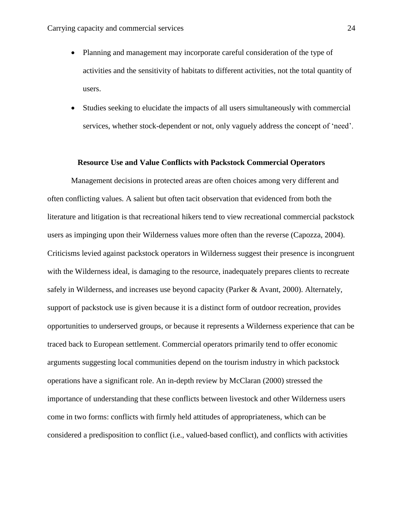- Planning and management may incorporate careful consideration of the type of activities and the sensitivity of habitats to different activities, not the total quantity of users.
- Studies seeking to elucidate the impacts of all users simultaneously with commercial services, whether stock-dependent or not, only vaguely address the concept of 'need'.

### **Resource Use and Value Conflicts with Packstock Commercial Operators**

<span id="page-23-0"></span>Management decisions in protected areas are often choices among very different and often conflicting values. A salient but often tacit observation that evidenced from both the literature and litigation is that recreational hikers tend to view recreational commercial packstock users as impinging upon their Wilderness values more often than the reverse (Capozza, 2004). Criticisms levied against packstock operators in Wilderness suggest their presence is incongruent with the Wilderness ideal, is damaging to the resource, inadequately prepares clients to recreate safely in Wilderness, and increases use beyond capacity (Parker & Avant, 2000). Alternately, support of packstock use is given because it is a distinct form of outdoor recreation, provides opportunities to underserved groups, or because it represents a Wilderness experience that can be traced back to European settlement. Commercial operators primarily tend to offer economic arguments suggesting local communities depend on the tourism industry in which packstock operations have a significant role. An in-depth review by McClaran (2000) stressed the importance of understanding that these conflicts between livestock and other Wilderness users come in two forms: conflicts with firmly held attitudes of appropriateness, which can be considered a predisposition to conflict (i.e., valued-based conflict), and conflicts with activities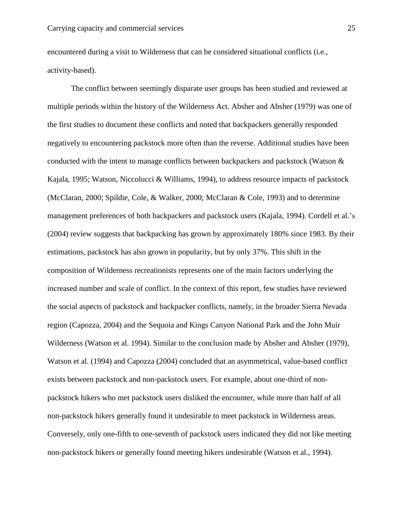encountered during a visit to Wilderness that can be considered situational conflicts (i.e., activity-based).

The conflict between seemingly disparate user groups has been studied and reviewed at multiple periods within the history of the Wilderness Act. Absher and Absher (1979) was one of the first studies to document these conflicts and noted that backpackers generally responded negatively to encountering packstock more often than the reverse. Additional studies have been conducted with the intent to manage conflicts between backpackers and packstock (Watson & Kajala, 1995; Watson, Niccolucci & Williams, 1994), to address resource impacts of packstock (McClaran, 2000; Spildie, Cole, & Walker, 2000; McClaran & Cole, 1993) and to determine management preferences of both backpackers and packstock users (Kajala, 1994). Cordell et al.'s (2004) review suggests that backpacking has grown by approximately 180% since 1983. By their estimations, packstock has also grown in popularity, but by only 37%. This shift in the composition of Wilderness recreationists represents one of the main factors underlying the increased number and scale of conflict. In the context of this report, few studies have reviewed the social aspects of packstock and backpacker conflicts, namely, in the broader Sierra Nevada region (Capozza, 2004) and the Sequoia and Kings Canyon National Park and the John Muir Wilderness (Watson et al. 1994). Similar to the conclusion made by Absher and Absher (1979), Watson et al. (1994) and Capozza (2004) concluded that an asymmetrical, value-based conflict exists between packstock and non-packstock users. For example, about one-third of nonpackstock hikers who met packstock users disliked the encounter, while more than half of all non-packstock hikers generally found it undesirable to meet packstock in Wilderness areas. Conversely, only one-fifth to one-seventh of packstock users indicated they did not like meeting non-packstock hikers or generally found meeting hikers undesirable (Watson et al., 1994).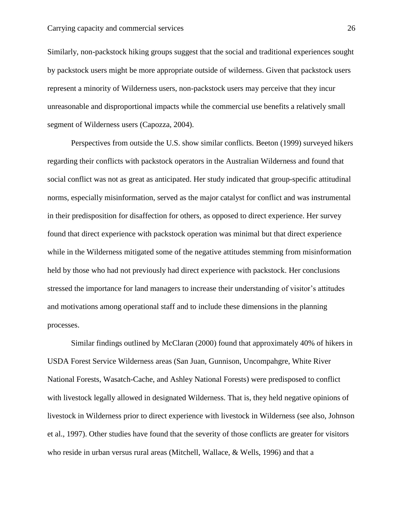Similarly, non-packstock hiking groups suggest that the social and traditional experiences sought by packstock users might be more appropriate outside of wilderness. Given that packstock users represent a minority of Wilderness users, non-packstock users may perceive that they incur unreasonable and disproportional impacts while the commercial use benefits a relatively small segment of Wilderness users (Capozza, 2004).

Perspectives from outside the U.S. show similar conflicts. Beeton (1999) surveyed hikers regarding their conflicts with packstock operators in the Australian Wilderness and found that social conflict was not as great as anticipated. Her study indicated that group-specific attitudinal norms, especially misinformation, served as the major catalyst for conflict and was instrumental in their predisposition for disaffection for others, as opposed to direct experience. Her survey found that direct experience with packstock operation was minimal but that direct experience while in the Wilderness mitigated some of the negative attitudes stemming from misinformation held by those who had not previously had direct experience with packstock. Her conclusions stressed the importance for land managers to increase their understanding of visitor's attitudes and motivations among operational staff and to include these dimensions in the planning processes.

Similar findings outlined by McClaran (2000) found that approximately 40% of hikers in USDA Forest Service Wilderness areas (San Juan, Gunnison, Uncompahgre, White River National Forests, Wasatch-Cache, and Ashley National Forests) were predisposed to conflict with livestock legally allowed in designated Wilderness. That is, they held negative opinions of livestock in Wilderness prior to direct experience with livestock in Wilderness (see also, Johnson et al., 1997). Other studies have found that the severity of those conflicts are greater for visitors who reside in urban versus rural areas (Mitchell, Wallace, & Wells, 1996) and that a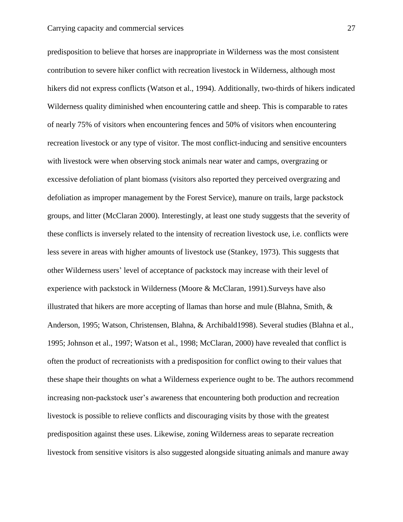predisposition to believe that horses are inappropriate in Wilderness was the most consistent contribution to severe hiker conflict with recreation livestock in Wilderness, although most hikers did not express conflicts (Watson et al., 1994). Additionally, two-thirds of hikers indicated Wilderness quality diminished when encountering cattle and sheep. This is comparable to rates of nearly 75% of visitors when encountering fences and 50% of visitors when encountering recreation livestock or any type of visitor. The most conflict-inducing and sensitive encounters with livestock were when observing stock animals near water and camps, overgrazing or excessive defoliation of plant biomass (visitors also reported they perceived overgrazing and defoliation as improper management by the Forest Service), manure on trails, large packstock groups, and litter (McClaran 2000). Interestingly, at least one study suggests that the severity of these conflicts is inversely related to the intensity of recreation livestock use, i.e. conflicts were less severe in areas with higher amounts of livestock use (Stankey, 1973). This suggests that other Wilderness users' level of acceptance of packstock may increase with their level of experience with packstock in Wilderness (Moore & McClaran, 1991).Surveys have also illustrated that hikers are more accepting of llamas than horse and mule (Blahna, Smith,  $\&$ Anderson, 1995; Watson, Christensen, Blahna, & Archibald1998). Several studies (Blahna et al., 1995; Johnson et al., 1997; Watson et al., 1998; McClaran, 2000) have revealed that conflict is often the product of recreationists with a predisposition for conflict owing to their values that these shape their thoughts on what a Wilderness experience ought to be. The authors recommend increasing non-packstock user's awareness that encountering both production and recreation livestock is possible to relieve conflicts and discouraging visits by those with the greatest predisposition against these uses. Likewise, zoning Wilderness areas to separate recreation livestock from sensitive visitors is also suggested alongside situating animals and manure away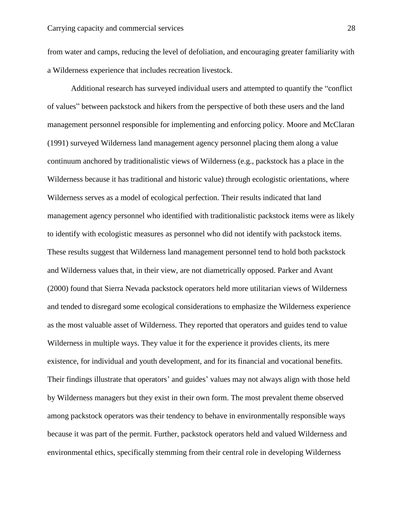from water and camps, reducing the level of defoliation, and encouraging greater familiarity with a Wilderness experience that includes recreation livestock.

Additional research has surveyed individual users and attempted to quantify the "conflict of values" between packstock and hikers from the perspective of both these users and the land management personnel responsible for implementing and enforcing policy. Moore and McClaran (1991) surveyed Wilderness land management agency personnel placing them along a value continuum anchored by traditionalistic views of Wilderness (e.g., packstock has a place in the Wilderness because it has traditional and historic value) through ecologistic orientations, where Wilderness serves as a model of ecological perfection. Their results indicated that land management agency personnel who identified with traditionalistic packstock items were as likely to identify with ecologistic measures as personnel who did not identify with packstock items. These results suggest that Wilderness land management personnel tend to hold both packstock and Wilderness values that, in their view, are not diametrically opposed. Parker and Avant (2000) found that Sierra Nevada packstock operators held more utilitarian views of Wilderness and tended to disregard some ecological considerations to emphasize the Wilderness experience as the most valuable asset of Wilderness. They reported that operators and guides tend to value Wilderness in multiple ways. They value it for the experience it provides clients, its mere existence, for individual and youth development, and for its financial and vocational benefits. Their findings illustrate that operators' and guides' values may not always align with those held by Wilderness managers but they exist in their own form. The most prevalent theme observed among packstock operators was their tendency to behave in environmentally responsible ways because it was part of the permit. Further, packstock operators held and valued Wilderness and environmental ethics, specifically stemming from their central role in developing Wilderness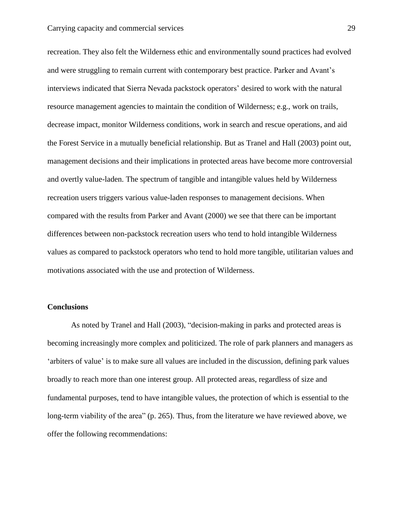recreation. They also felt the Wilderness ethic and environmentally sound practices had evolved and were struggling to remain current with contemporary best practice. Parker and Avant's interviews indicated that Sierra Nevada packstock operators' desired to work with the natural resource management agencies to maintain the condition of Wilderness; e.g., work on trails, decrease impact, monitor Wilderness conditions, work in search and rescue operations, and aid the Forest Service in a mutually beneficial relationship. But as Tranel and Hall (2003) point out, management decisions and their implications in protected areas have become more controversial and overtly value-laden. The spectrum of tangible and intangible values held by Wilderness recreation users triggers various value-laden responses to management decisions. When compared with the results from Parker and Avant (2000) we see that there can be important differences between non-packstock recreation users who tend to hold intangible Wilderness values as compared to packstock operators who tend to hold more tangible, utilitarian values and motivations associated with the use and protection of Wilderness.

## <span id="page-28-0"></span>**Conclusions**

As noted by Tranel and Hall (2003), "decision-making in parks and protected areas is becoming increasingly more complex and politicized. The role of park planners and managers as 'arbiters of value' is to make sure all values are included in the discussion, defining park values broadly to reach more than one interest group. All protected areas, regardless of size and fundamental purposes, tend to have intangible values, the protection of which is essential to the long-term viability of the area" (p. 265). Thus, from the literature we have reviewed above, we offer the following recommendations: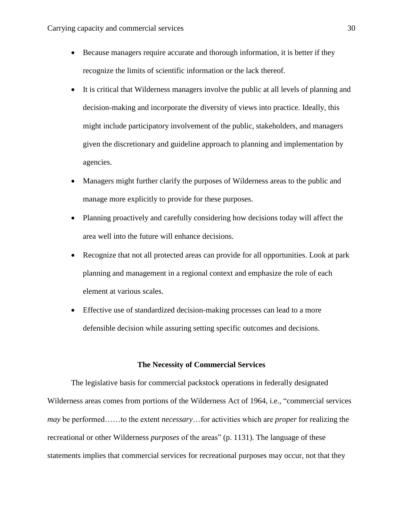- Because managers require accurate and thorough information, it is better if they recognize the limits of scientific information or the lack thereof.
- It is critical that Wilderness managers involve the public at all levels of planning and decision-making and incorporate the diversity of views into practice. Ideally, this might include participatory involvement of the public, stakeholders, and managers given the discretionary and guideline approach to planning and implementation by agencies.
- Managers might further clarify the purposes of Wilderness areas to the public and manage more explicitly to provide for these purposes.
- Planning proactively and carefully considering how decisions today will affect the area well into the future will enhance decisions.
- Recognize that not all protected areas can provide for all opportunities. Look at park planning and management in a regional context and emphasize the role of each element at various scales.
- Effective use of standardized decision-making processes can lead to a more defensible decision while assuring setting specific outcomes and decisions.

#### **The Necessity of Commercial Services**

<span id="page-29-0"></span>The legislative basis for commercial packstock operations in federally designated Wilderness areas comes from portions of the Wilderness Act of 1964, i.e., "commercial services *may* be performed……to the extent *necessary*…for activities which are *proper* for realizing the recreational or other Wilderness *purposes* of the areas" (p. 1131). The language of these statements implies that commercial services for recreational purposes may occur, not that they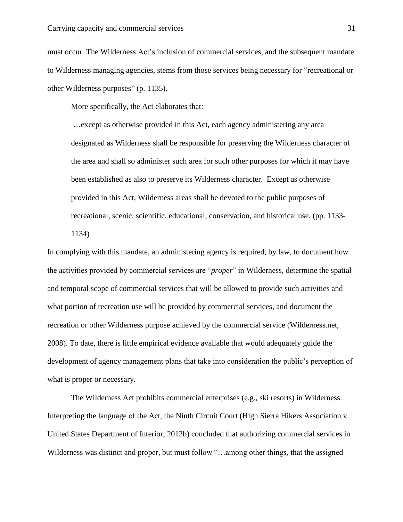must occur. The Wilderness Act's inclusion of commercial services, and the subsequent mandate to Wilderness managing agencies, stems from those services being necessary for "recreational or other Wilderness purposes" (p. 1135).

More specifically, the Act elaborates that:

…except as otherwise provided in this Act, each agency administering any area designated as Wilderness shall be responsible for preserving the Wilderness character of the area and shall so administer such area for such other purposes for which it may have been established as also to preserve its Wilderness character. Except as otherwise provided in this Act, Wilderness areas shall be devoted to the public purposes of recreational, scenic, scientific, educational, conservation, and historical use. (pp. 1133- 1134)

In complying with this mandate, an administering agency is required, by law, to document how the activities provided by commercial services are "*proper*" in Wilderness, determine the spatial and temporal scope of commercial services that will be allowed to provide such activities and what portion of recreation use will be provided by commercial services, and document the recreation or other Wilderness purpose achieved by the commercial service (Wilderness.net, 2008). To date, there is little empirical evidence available that would adequately guide the development of agency management plans that take into consideration the public's perception of what is proper or necessary.

The Wilderness Act prohibits commercial enterprises (e.g., ski resorts) in Wilderness. Interpreting the language of the Act, the Ninth Circuit Court (High Sierra Hikers Association v. United States Department of Interior, 2012b) concluded that authorizing commercial services in Wilderness was distinct and proper, but must follow "...among other things, that the assigned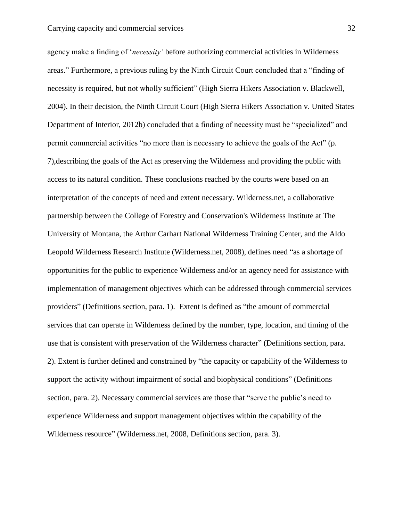agency make a finding of '*necessity'* before authorizing commercial activities in Wilderness areas." Furthermore, a previous ruling by the Ninth Circuit Court concluded that a "finding of necessity is required, but not wholly sufficient" (High Sierra Hikers Association v. Blackwell, 2004). In their decision, the Ninth Circuit Court (High Sierra Hikers Association v. United States Department of Interior, 2012b) concluded that a finding of necessity must be "specialized" and permit commercial activities "no more than is necessary to achieve the goals of the Act" (p. 7),describing the goals of the Act as preserving the Wilderness and providing the public with access to its natural condition. These conclusions reached by the courts were based on an interpretation of the concepts of need and extent necessary. Wilderness.net, a collaborative partnership between the College of Forestry and Conservation's Wilderness Institute at The University of Montana, the Arthur Carhart National Wilderness Training Center, and the Aldo Leopold Wilderness Research Institute (Wilderness.net, 2008), defines need "as a shortage of opportunities for the public to experience Wilderness and/or an agency need for assistance with implementation of management objectives which can be addressed through commercial services providers" (Definitions section, para. 1). Extent is defined as "the amount of commercial services that can operate in Wilderness defined by the number, type, location, and timing of the use that is consistent with preservation of the Wilderness character" (Definitions section, para. 2). Extent is further defined and constrained by "the capacity or capability of the Wilderness to support the activity without impairment of social and biophysical conditions" (Definitions section, para. 2). Necessary commercial services are those that "serve the public's need to experience Wilderness and support management objectives within the capability of the Wilderness resource" (Wilderness.net, 2008, Definitions section, para. 3).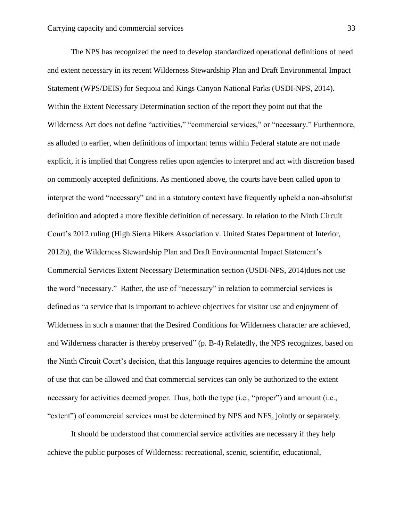The NPS has recognized the need to develop standardized operational definitions of need and extent necessary in its recent Wilderness Stewardship Plan and Draft Environmental Impact Statement (WPS/DEIS) for Sequoia and Kings Canyon National Parks (USDI-NPS, 2014). Within the Extent Necessary Determination section of the report they point out that the Wilderness Act does not define "activities," "commercial services," or "necessary." Furthermore, as alluded to earlier, when definitions of important terms within Federal statute are not made explicit, it is implied that Congress relies upon agencies to interpret and act with discretion based on commonly accepted definitions. As mentioned above, the courts have been called upon to interpret the word "necessary" and in a statutory context have frequently upheld a non-absolutist definition and adopted a more flexible definition of necessary. In relation to the Ninth Circuit Court's 2012 ruling (High Sierra Hikers Association v. United States Department of Interior, 2012b), the Wilderness Stewardship Plan and Draft Environmental Impact Statement's Commercial Services Extent Necessary Determination section (USDI-NPS, 2014)does not use the word "necessary." Rather, the use of "necessary" in relation to commercial services is defined as "a service that is important to achieve objectives for visitor use and enjoyment of Wilderness in such a manner that the Desired Conditions for Wilderness character are achieved, and Wilderness character is thereby preserved" (p. B-4) Relatedly, the NPS recognizes, based on the Ninth Circuit Court's decision, that this language requires agencies to determine the amount of use that can be allowed and that commercial services can only be authorized to the extent necessary for activities deemed proper. Thus, both the type (i.e., "proper") and amount (i.e., "extent") of commercial services must be determined by NPS and NFS, jointly or separately.

It should be understood that commercial service activities are necessary if they help achieve the public purposes of Wilderness: recreational, scenic, scientific, educational,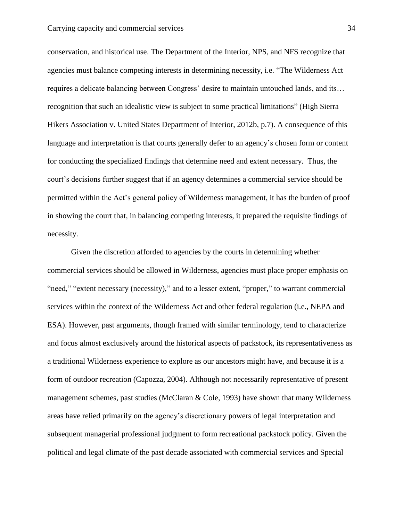conservation, and historical use. The Department of the Interior, NPS, and NFS recognize that agencies must balance competing interests in determining necessity, i.e. "The Wilderness Act requires a delicate balancing between Congress' desire to maintain untouched lands, and its… recognition that such an idealistic view is subject to some practical limitations" (High Sierra Hikers Association v. United States Department of Interior, 2012b, p.7). A consequence of this language and interpretation is that courts generally defer to an agency's chosen form or content for conducting the specialized findings that determine need and extent necessary. Thus, the court's decisions further suggest that if an agency determines a commercial service should be permitted within the Act's general policy of Wilderness management, it has the burden of proof in showing the court that, in balancing competing interests, it prepared the requisite findings of necessity.

Given the discretion afforded to agencies by the courts in determining whether commercial services should be allowed in Wilderness, agencies must place proper emphasis on "need," "extent necessary (necessity)," and to a lesser extent, "proper," to warrant commercial services within the context of the Wilderness Act and other federal regulation (i.e., NEPA and ESA). However, past arguments, though framed with similar terminology, tend to characterize and focus almost exclusively around the historical aspects of packstock, its representativeness as a traditional Wilderness experience to explore as our ancestors might have, and because it is a form of outdoor recreation (Capozza, 2004). Although not necessarily representative of present management schemes, past studies (McClaran & Cole, 1993) have shown that many Wilderness areas have relied primarily on the agency's discretionary powers of legal interpretation and subsequent managerial professional judgment to form recreational packstock policy. Given the political and legal climate of the past decade associated with commercial services and Special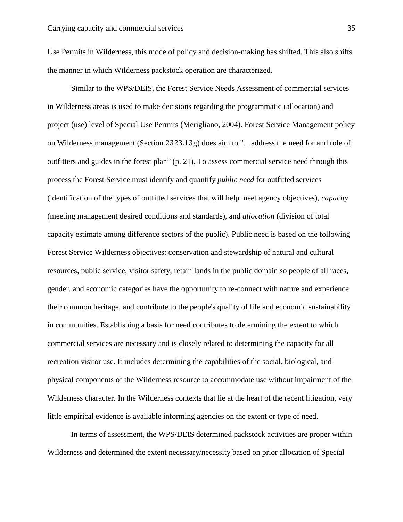Use Permits in Wilderness, this mode of policy and decision-making has shifted. This also shifts the manner in which Wilderness packstock operation are characterized.

Similar to the WPS/DEIS, the Forest Service Needs Assessment of commercial services in Wilderness areas is used to make decisions regarding the programmatic (allocation) and project (use) level of Special Use Permits (Merigliano, 2004). Forest Service Management policy on Wilderness management (Section 2323.13g) does aim to "…address the need for and role of outfitters and guides in the forest plan" (p. 21). To assess commercial service need through this process the Forest Service must identify and quantify *public need* for outfitted services (identification of the types of outfitted services that will help meet agency objectives), *capacity* (meeting management desired conditions and standards), and *allocation* (division of total capacity estimate among difference sectors of the public). Public need is based on the following Forest Service Wilderness objectives: conservation and stewardship of natural and cultural resources, public service, visitor safety, retain lands in the public domain so people of all races, gender, and economic categories have the opportunity to re-connect with nature and experience their common heritage, and contribute to the people's quality of life and economic sustainability in communities. Establishing a basis for need contributes to determining the extent to which commercial services are necessary and is closely related to determining the capacity for all recreation visitor use. It includes determining the capabilities of the social, biological, and physical components of the Wilderness resource to accommodate use without impairment of the Wilderness character. In the Wilderness contexts that lie at the heart of the recent litigation, very little empirical evidence is available informing agencies on the extent or type of need.

In terms of assessment, the WPS/DEIS determined packstock activities are proper within Wilderness and determined the extent necessary/necessity based on prior allocation of Special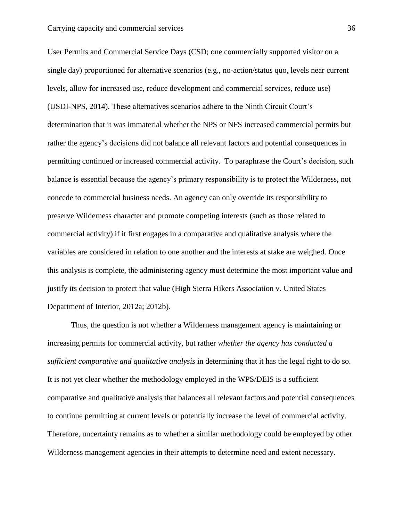User Permits and Commercial Service Days (CSD; one commercially supported visitor on a single day) proportioned for alternative scenarios (e.g., no-action/status quo, levels near current levels, allow for increased use, reduce development and commercial services, reduce use) (USDI-NPS, 2014). These alternatives scenarios adhere to the Ninth Circuit Court's determination that it was immaterial whether the NPS or NFS increased commercial permits but rather the agency's decisions did not balance all relevant factors and potential consequences in permitting continued or increased commercial activity. To paraphrase the Court's decision, such balance is essential because the agency's primary responsibility is to protect the Wilderness, not concede to commercial business needs. An agency can only override its responsibility to preserve Wilderness character and promote competing interests (such as those related to commercial activity) if it first engages in a comparative and qualitative analysis where the variables are considered in relation to one another and the interests at stake are weighed. Once this analysis is complete, the administering agency must determine the most important value and justify its decision to protect that value (High Sierra Hikers Association v. United States Department of Interior, 2012a; 2012b).

Thus, the question is not whether a Wilderness management agency is maintaining or increasing permits for commercial activity, but rather *whether the agency has conducted a sufficient comparative and qualitative analysis* in determining that it has the legal right to do so. It is not yet clear whether the methodology employed in the WPS/DEIS is a sufficient comparative and qualitative analysis that balances all relevant factors and potential consequences to continue permitting at current levels or potentially increase the level of commercial activity. Therefore, uncertainty remains as to whether a similar methodology could be employed by other Wilderness management agencies in their attempts to determine need and extent necessary.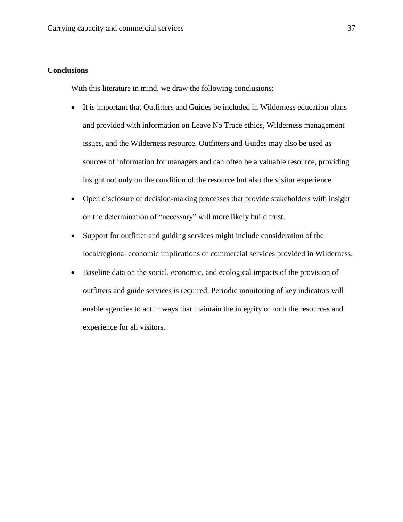## <span id="page-36-0"></span>**Conclusions**

With this literature in mind, we draw the following conclusions:

- It is important that Outfitters and Guides be included in Wilderness education plans and provided with information on Leave No Trace ethics, Wilderness management issues, and the Wilderness resource. Outfitters and Guides may also be used as sources of information for managers and can often be a valuable resource, providing insight not only on the condition of the resource but also the visitor experience.
- Open disclosure of decision-making processes that provide stakeholders with insight on the determination of "necessary" will more likely build trust.
- Support for outfitter and guiding services might include consideration of the local/regional economic implications of commercial services provided in Wilderness.
- Baseline data on the social, economic, and ecological impacts of the provision of outfitters and guide services is required. Periodic monitoring of key indicators will enable agencies to act in ways that maintain the integrity of both the resources and experience for all visitors.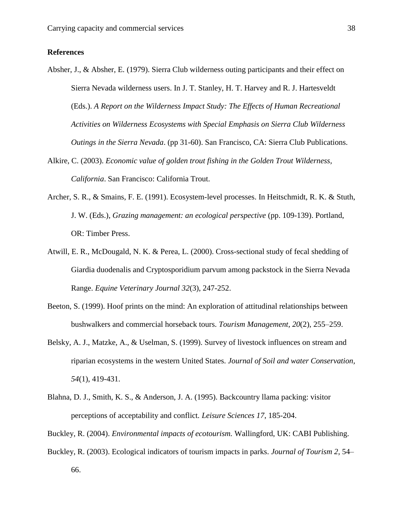## <span id="page-37-0"></span>**References**

- Absher, J., & Absher, E. (1979). Sierra Club wilderness outing participants and their effect on Sierra Nevada wilderness users. In J. T. Stanley, H. T. Harvey and R. J. Hartesveldt (Eds.). *A Report on the Wilderness Impact Study: The Effects of Human Recreational Activities on Wilderness Ecosystems with Special Emphasis on Sierra Club Wilderness Outings in the Sierra Nevada*. (pp 31-60). San Francisco, CA: Sierra Club Publications.
- Alkire, C. (2003). *Economic value of golden trout fishing in the Golden Trout Wilderness, California*. San Francisco: California Trout.
- Archer, S. R., & Smains, F. E. (1991). Ecosystem-level processes. In Heitschmidt, R. K. & Stuth, J. W. (Eds.), *Grazing management: an ecological perspective* (pp. 109-139). Portland, OR: Timber Press.
- Atwill, E. R., McDougald, N. K. & Perea, L. (2000). Cross-sectional study of fecal shedding of Giardia duodenalis and Cryptosporidium parvum among packstock in the Sierra Nevada Range. *Equine Veterinary Journal 32*(3), 247-252.
- Beeton, S. (1999). Hoof prints on the mind: An exploration of attitudinal relationships between bushwalkers and commercial horseback tours. *Tourism Management, 20*(2), 255–259.
- Belsky, A. J., Matzke, A., & Uselman, S. (1999). Survey of livestock influences on stream and riparian ecosystems in the western United States. *Journal of Soil and water Conservation, 54*(1), 419-431.
- Blahna, D. J., Smith, K. S., & Anderson, J. A. (1995). Backcountry llama packing: visitor perceptions of acceptability and conflict*. Leisure Sciences 17*, 185-204.
- Buckley, R. (2004). *Environmental impacts of ecotourism.* Wallingford, UK: CABI Publishing.
- Buckley, R. (2003). Ecological indicators of tourism impacts in parks. *Journal of Tourism 2*, 54– 66.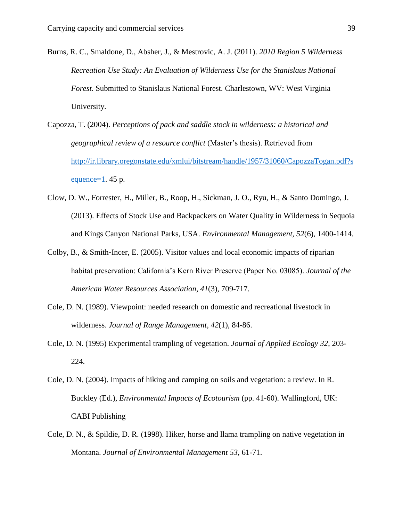- Burns, R. C., Smaldone, D., Absher, J., & Mestrovic, A. J. (2011). *2010 Region 5 Wilderness Recreation Use Study: An Evaluation of Wilderness Use for the Stanislaus National Forest*. Submitted to Stanislaus National Forest. Charlestown, WV: West Virginia University.
- Capozza, T. (2004). *Perceptions of pack and saddle stock in wilderness: a historical and geographical review of a resource conflict* (Master's thesis). Retrieved from [http://ir.library.oregonstate.edu/xmlui/bitstream/handle/1957/31060/CapozzaTogan.pdf?s](http://ir.library.oregonstate.edu/xmlui/bitstream/handle/1957/31060/CapozzaTogan.pdf?sequence=1) [equence=1.](http://ir.library.oregonstate.edu/xmlui/bitstream/handle/1957/31060/CapozzaTogan.pdf?sequence=1) 45 p.
- Clow, D. W., Forrester, H., Miller, B., Roop, H., Sickman, J. O., Ryu, H., & Santo Domingo, J. (2013). Effects of Stock Use and Backpackers on Water Quality in Wilderness in Sequoia and Kings Canyon National Parks, USA. *Environmental Management, 52*(6), 1400-1414.
- Colby, B., & Smith‐Incer, E. (2005). Visitor values and local economic impacts of riparian habitat preservation: California's Kern River Preserve (Paper No. 03085). *Journal of the American Water Resources Association, 41*(3), 709-717.
- Cole, D. N. (1989). Viewpoint: needed research on domestic and recreational livestock in wilderness. *Journal of Range Management, 42*(1), 84-86.
- Cole, D. N. (1995) Experimental trampling of vegetation. *Journal of Applied Ecology 32*, 203- 224.
- Cole, D. N. (2004). Impacts of hiking and camping on soils and vegetation: a review. In R. Buckley (Ed.), *Environmental Impacts of Ecotourism* (pp. 41-60). Wallingford, UK: CABI Publishing
- Cole, D. N., & Spildie, D. R. (1998). Hiker, horse and llama trampling on native vegetation in Montana. *Journal of Environmental Management 53*, 61-71.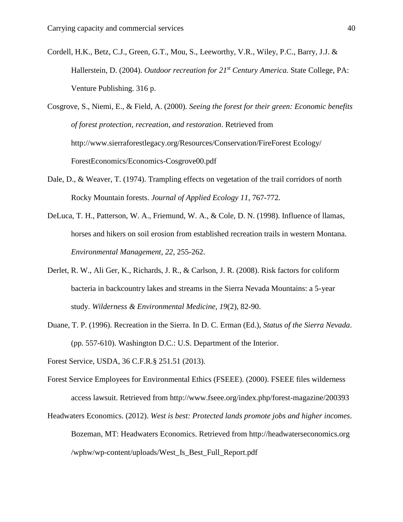Cordell, H.K., Betz, C.J., Green, G.T., Mou, S., Leeworthy, V.R., Wiley, P.C., Barry, J.J. & Hallerstein, D. (2004). *Outdoor recreation for 21st Century America*. State College, PA: Venture Publishing. 316 p.

Cosgrove, S., Niemi, E., & Field, A. (2000). *Seeing the forest for their green: Economic benefits of forest protection, recreation, and restoration*. Retrieved from http://www.sierraforestlegacy.org/Resources/Conservation/FireForest Ecology/ ForestEconomics/Economics-Cosgrove00.pdf

- Dale, D., & Weaver, T. (1974). Trampling effects on vegetation of the trail corridors of north Rocky Mountain forests. *Journal of Applied Ecology 11*, 767-772.
- DeLuca, T. H., Patterson, W. A., Friemund, W. A., & Cole, D. N. (1998). Influence of llamas, horses and hikers on soil erosion from established recreation trails in western Montana. *Environmental Management, 22*, 255-262.
- Derlet, R. W., Ali Ger, K., Richards, J. R., & Carlson, J. R. (2008). Risk factors for coliform bacteria in backcountry lakes and streams in the Sierra Nevada Mountains: a 5-year study. *Wilderness & Environmental Medicine, 19*(2), 82-90.
- Duane, T. P. (1996). Recreation in the Sierra. In D. C. Erman (Ed.), *Status of the Sierra Nevada*. (pp. 557-610). Washington D.C.: U.S. Department of the Interior.

Forest Service, USDA, 36 C.F.R.§ 251.51 (2013).

- Forest Service Employees for Environmental Ethics (FSEEE). (2000). FSEEE files wilderness access lawsuit. Retrieved from http://www.fseee.org/index.php/forest-magazine/200393
- Headwaters Economics. (2012). *West is best: Protected lands promote jobs and higher incomes*. Bozeman, MT: Headwaters Economics. Retrieved from http://headwaterseconomics.org /wphw/wp-content/uploads/West\_Is\_Best\_Full\_Report.pdf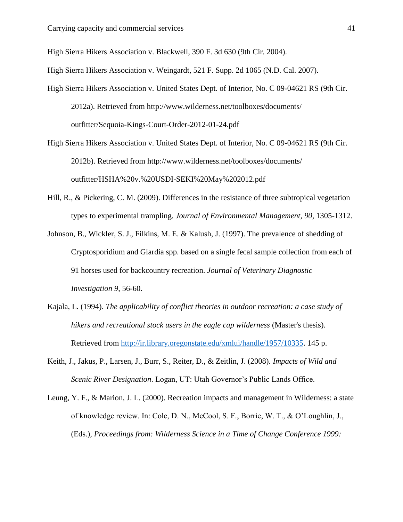High Sierra Hikers Association v. Blackwell, 390 F. 3d 630 (9th Cir. 2004).

High Sierra Hikers Association v. Weingardt, 521 F. Supp. 2d 1065 (N.D. Cal. 2007).

High Sierra Hikers Association v. United States Dept. of Interior, No. C 09-04621 RS (9th Cir. 2012a). Retrieved from http://www.wilderness.net/toolboxes/documents/ outfitter/Sequoia-Kings-Court-Order-2012-01-24.pdf

High Sierra Hikers Association v. United States Dept. of Interior, No. C 09-04621 RS (9th Cir. 2012b). Retrieved from http://www.wilderness.net/toolboxes/documents/ outfitter/HSHA%20v.%20USDI-SEKI%20May%202012.pdf

- Hill, R., & Pickering, C. M. (2009). Differences in the resistance of three subtropical vegetation types to experimental trampling. *Journal of Environmental Management, 90*, 1305-1312.
- Johnson, B., Wickler, S. J., Filkins, M. E. & Kalush, J. (1997). The prevalence of shedding of Cryptosporidium and Giardia spp. based on a single fecal sample collection from each of 91 horses used for backcountry recreation. *Journal of Veterinary Diagnostic Investigation 9*, 56-60.
- Kajala, L. (1994). *The applicability of conflict theories in outdoor recreation: a case study of hikers and recreational stock users in the eagle cap wilderness* (Master's thesis). Retrieved from [http://ir.library.oregonstate.edu/xmlui/handle/1957/10335.](http://ir.library.oregonstate.edu/xmlui/handle/1957/10335) 145 p.
- Keith, J., Jakus, P., Larsen, J., Burr, S., Reiter, D., & Zeitlin, J. (2008). *Impacts of Wild and Scenic River Designation*. Logan, UT: Utah Governor's Public Lands Office.
- Leung, Y. F., & Marion, J. L. (2000). Recreation impacts and management in Wilderness: a state of knowledge review. In: Cole, D. N., McCool, S. F., Borrie, W. T., & O'Loughlin, J., (Eds.), *Proceedings from: Wilderness Science in a Time of Change Conference 1999:*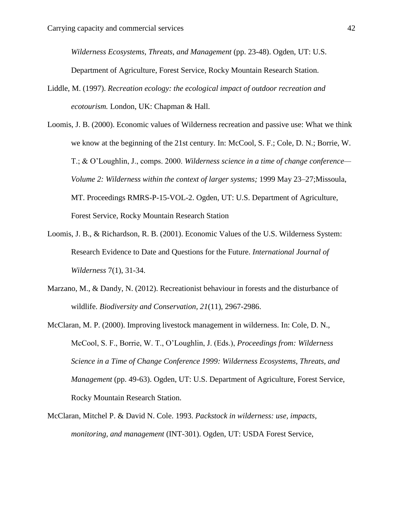*Wilderness Ecosystems, Threats, and Management* (pp. 23-48). Ogden, UT: U.S.

Department of Agriculture, Forest Service, Rocky Mountain Research Station.

- Liddle, M. (1997). *Recreation ecology: the ecological impact of outdoor recreation and ecotourism.* London, UK: Chapman & Hall.
- Loomis, J. B. (2000). Economic values of Wilderness recreation and passive use: What we think we know at the beginning of the 21st century. In: McCool, S. F.; Cole, D. N.; Borrie, W. T.; & O'Loughlin, J., comps. 2000. *Wilderness science in a time of change conference— Volume 2: Wilderness within the context of larger systems;* 1999 May 23–27;Missoula, MT. Proceedings RMRS-P-15-VOL-2. Ogden, UT: U.S. Department of Agriculture, Forest Service, Rocky Mountain Research Station
- Loomis, J. B., & Richardson, R. B. (2001). Economic Values of the U.S. Wilderness System: Research Evidence to Date and Questions for the Future. *International Journal of Wilderness* 7(1), 31-34.
- Marzano, M., & Dandy, N. (2012). Recreationist behaviour in forests and the disturbance of wildlife. *Biodiversity and Conservation, 21*(11), 2967-2986.
- McClaran, M. P. (2000). Improving livestock management in wilderness. In: Cole, D. N., McCool, S. F., Borrie, W. T., O'Loughlin, J. (Eds.), *Proceedings from: Wilderness Science in a Time of Change Conference 1999: Wilderness Ecosystems, Threats, and Management* (pp. 49-63). Ogden, UT: U.S. Department of Agriculture, Forest Service, Rocky Mountain Research Station.
- McClaran, Mitchel P. & David N. Cole. 1993. *Packstock in wilderness: use, impacts, monitoring, and management* (INT-301). Ogden, UT: USDA Forest Service,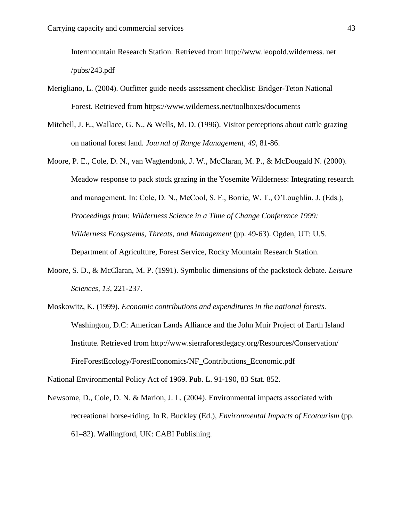Intermountain Research Station. Retrieved from http://www.leopold.wilderness. net /pubs/243.pdf

- Merigliano, L. (2004). Outfitter guide needs assessment checklist: Bridger-Teton National Forest. Retrieved from https://www.wilderness.net/toolboxes/documents
- Mitchell, J. E., Wallace, G. N., & Wells, M. D. (1996). Visitor perceptions about cattle grazing on national forest land. *Journal of Range Management, 49*, 81-86.
- Moore, P. E., Cole, D. N., van Wagtendonk, J. W., McClaran, M. P., & McDougald N. (2000). Meadow response to pack stock grazing in the Yosemite Wilderness: Integrating research and management. In: Cole, D. N., McCool, S. F., Borrie, W. T., O'Loughlin, J. (Eds.), *Proceedings from: Wilderness Science in a Time of Change Conference 1999: Wilderness Ecosystems, Threats, and Management* (pp. 49-63). Ogden, UT: U.S. Department of Agriculture, Forest Service, Rocky Mountain Research Station.
- Moore, S. D., & McClaran, M. P. (1991). Symbolic dimensions of the packstock debate. *Leisure Sciences, 13*, 221-237.
- Moskowitz, K. (1999). *Economic contributions and expenditures in the national forests.* Washington, D.C: American Lands Alliance and the John Muir Project of Earth Island Institute. Retrieved from http://www.sierraforestlegacy.org/Resources/Conservation/ FireForestEcology/ForestEconomics/NF\_Contributions\_Economic.pdf

National Environmental Policy Act of 1969. Pub. L. 91-190, 83 Stat. 852.

Newsome, D., Cole, D. N. & Marion, J. L. (2004). Environmental impacts associated with recreational horse-riding. In R. Buckley (Ed.), *Environmental Impacts of Ecotourism* (pp. 61–82). Wallingford, UK: CABI Publishing.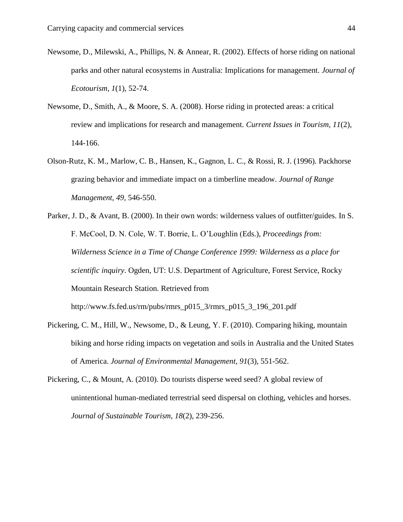- Newsome, D., Milewski, A., Phillips, N. & Annear, R. (2002). Effects of horse riding on national parks and other natural ecosystems in Australia: Implications for management. *Journal of Ecotourism, 1*(1), 52-74.
- Newsome, D., Smith, A., & Moore, S. A. (2008). Horse riding in protected areas: a critical review and implications for research and management. *Current Issues in Tourism, 11*(2), 144-166.
- Olson-Rutz, K. M., Marlow, C. B., Hansen, K., Gagnon, L. C., & Rossi, R. J. (1996). Packhorse grazing behavior and immediate impact on a timberline meadow. *Journal of Range Management, 49,* 546-550.
- Parker, J. D., & Avant, B. (2000). In their own words: wilderness values of outfitter/guides. In S. F. McCool, D. N. Cole, W. T. Borrie, L. O'Loughlin (Eds.), *Proceedings from: Wilderness Science in a Time of Change Conference 1999: Wilderness as a place for scientific inquiry*. Ogden, UT: U.S. Department of Agriculture, Forest Service, Rocky Mountain Research Station. Retrieved from

http://www.fs.fed.us/rm/pubs/rmrs\_p015\_3/rmrs\_p015\_3\_196\_201.pdf

- Pickering, C. M., Hill, W., Newsome, D., & Leung, Y. F. (2010). Comparing hiking, mountain biking and horse riding impacts on vegetation and soils in Australia and the United States of America. *Journal of Environmental Management, 91*(3), 551-562.
- Pickering, C., & Mount, A. (2010). Do tourists disperse weed seed? A global review of unintentional human-mediated terrestrial seed dispersal on clothing, vehicles and horses. *Journal of Sustainable Tourism, 18*(2), 239-256.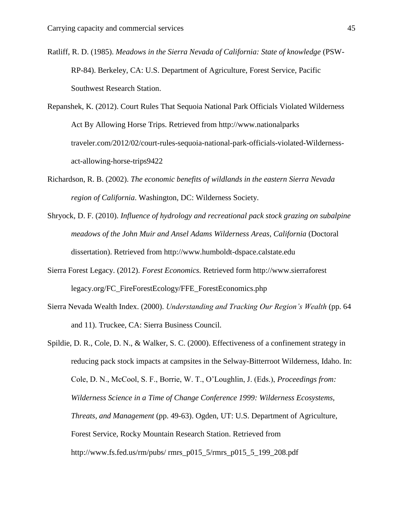- Ratliff, R. D. (1985). *Meadows in the Sierra Nevada of California: State of knowledge* (PSW-RP-84). Berkeley, CA: U.S. Department of Agriculture, Forest Service, Pacific Southwest Research Station.
- Repanshek, K. (2012). Court Rules That Sequoia National Park Officials Violated Wilderness Act By Allowing Horse Trips. Retrieved from http://www.nationalparks traveler.com/2012/02/court-rules-sequoia-national-park-officials-violated-Wildernessact-allowing-horse-trips9422
- Richardson, R. B. (2002). *The economic benefits of wildlands in the eastern Sierra Nevada region of California*. Washington, DC: Wilderness Society.
- Shryock, D. F. (2010). *Influence of hydrology and recreational pack stock grazing on subalpine meadows of the John Muir and Ansel Adams Wilderness Areas, California* (Doctoral dissertation). Retrieved from http://www.humboldt-dspace.calstate.edu
- Sierra Forest Legacy. (2012). *Forest Economics.* Retrieved form http://www.sierraforest legacy.org/FC\_FireForestEcology/FFE\_ForestEconomics.php
- Sierra Nevada Wealth Index. (2000). *Understanding and Tracking Our Region's Wealth* (pp. 64 and 11). Truckee, CA: Sierra Business Council.
- Spildie, D. R., Cole, D. N., & Walker, S. C. (2000). Effectiveness of a confinement strategy in reducing pack stock impacts at campsites in the Selway-Bitterroot Wilderness, Idaho. In: Cole, D. N., McCool, S. F., Borrie, W. T., O'Loughlin, J. (Eds.), *Proceedings from: Wilderness Science in a Time of Change Conference 1999: Wilderness Ecosystems, Threats, and Management* (pp. 49-63). Ogden, UT: U.S. Department of Agriculture, Forest Service, Rocky Mountain Research Station. Retrieved from http://www.fs.fed.us/rm/pubs/ rmrs\_p015\_5/rmrs\_p015\_5\_199\_208.pdf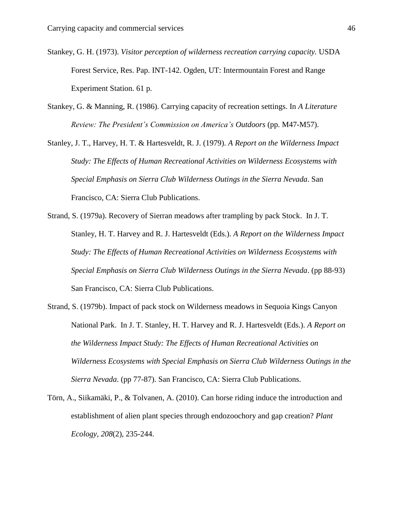- Stankey, G. H. (1973). *Visitor perception of wilderness recreation carrying capacity.* USDA Forest Service, Res. Pap. INT-142. Ogden, UT: Intermountain Forest and Range Experiment Station. 61 p.
- Stankey, G. & Manning, R. (1986). Carrying capacity of recreation settings. In *A Literature Review: The President's Commission on America's Outdoors* (pp. M47-M57).
- Stanley, J. T., Harvey, H. T. & Hartesveldt, R. J. (1979). *A Report on the Wilderness Impact Study: The Effects of Human Recreational Activities on Wilderness Ecosystems with Special Emphasis on Sierra Club Wilderness Outings in the Sierra Nevada*. San Francisco, CA: Sierra Club Publications.
- Strand, S. (1979a). Recovery of Sierran meadows after trampling by pack Stock. In J. T. Stanley, H. T. Harvey and R. J. Hartesveldt (Eds.). *A Report on the Wilderness Impact Study: The Effects of Human Recreational Activities on Wilderness Ecosystems with Special Emphasis on Sierra Club Wilderness Outings in the Sierra Nevada*. (pp 88-93) San Francisco, CA: Sierra Club Publications.
- Strand, S. (1979b). Impact of pack stock on Wilderness meadows in Sequoia Kings Canyon National Park. In J. T. Stanley, H. T. Harvey and R. J. Hartesveldt (Eds.). *A Report on the Wilderness Impact Study: The Effects of Human Recreational Activities on Wilderness Ecosystems with Special Emphasis on Sierra Club Wilderness Outings in the Sierra Nevada*. (pp 77-87). San Francisco, CA: Sierra Club Publications.
- Törn, A., Siikamäki, P., & Tolvanen, A. (2010). Can horse riding induce the introduction and establishment of alien plant species through endozoochory and gap creation? *Plant Ecology, 208*(2), 235-244.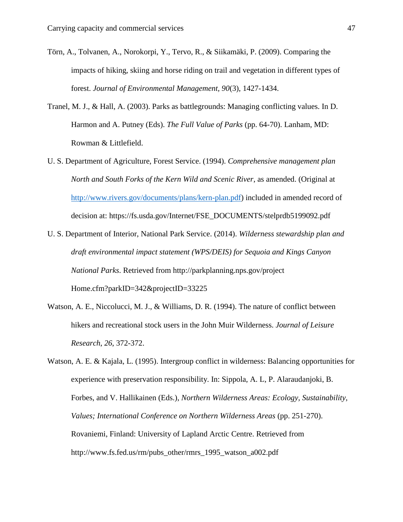- Törn, A., Tolvanen, A., Norokorpi, Y., Tervo, R., & Siikamäki, P. (2009). Comparing the impacts of hiking, skiing and horse riding on trail and vegetation in different types of forest. *Journal of Environmental Management, 90*(3), 1427-1434.
- Tranel, M. J., & Hall, A. (2003). Parks as battlegrounds: Managing conflicting values. In D. Harmon and A. Putney (Eds). *The Full Value of Parks* (pp. 64-70). Lanham, MD: Rowman & Littlefield.
- U. S. Department of Agriculture, Forest Service. (1994). *Comprehensive management plan North and South Forks of the Kern Wild and Scenic River*, as amended. (Original at [http://www.rivers.gov/documents/plans/kern-plan.pdf\)](http://www.rivers.gov/documents/plans/kern-plan.pdf) included in amended record of decision at: https://fs.usda.gov/Internet/FSE\_DOCUMENTS/stelprdb5199092.pdf
- U. S. Department of Interior, National Park Service. (2014). *Wilderness stewardship plan and draft environmental impact statement (WPS/DEIS) for Sequoia and Kings Canyon National Parks*. Retrieved from http://parkplanning.nps.gov/project Home.cfm?parkID=342&projectID=33225
- Watson, A. E., Niccolucci, M. J., & Williams, D. R. (1994). The nature of conflict between hikers and recreational stock users in the John Muir Wilderness. *Journal of Leisure Research*, *26*, 372-372.
- Watson, A. E. & Kajala, L. (1995). Intergroup conflict in wilderness: Balancing opportunities for experience with preservation responsibility. In: Sippola, A. L, P. Alaraudanjoki, B. Forbes, and V. Hallikainen (Eds.), *Northern Wilderness Areas: Ecology, Sustainability, Values; International Conference on Northern Wilderness Areas* (pp. 251-270). Rovaniemi, Finland: University of Lapland Arctic Centre. Retrieved from http://www.fs.fed.us/rm/pubs\_other/rmrs\_1995\_watson\_a002.pdf